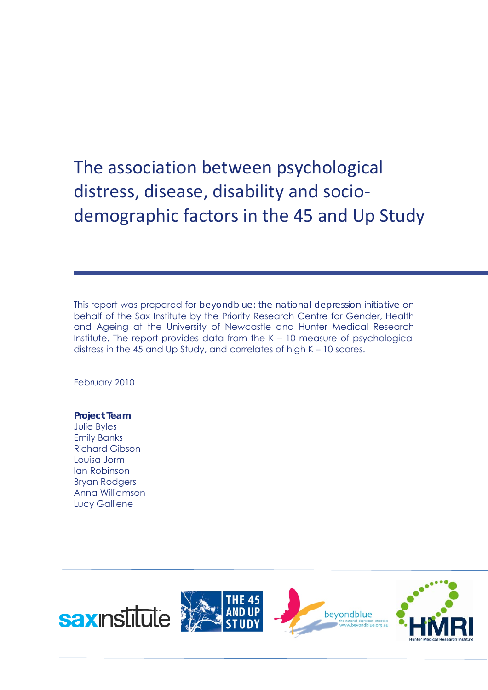The association between psychological distress, disease, disability and socio‐ demographic factors in the 45 and Up Study

This report was prepared for *beyondblue: the national depression initiative* on behalf of the Sax Institute by the Priority Research Centre for Gender, Health and Ageing at the University of Newcastle and Hunter Medical Research Institute. The report provides data from the K – 10 measure of psychological distress in the 45 and Up Study, and correlates of high K – 10 scores.

February 2010

## **Project Team**

Julie Byles Emily Banks Richard Gibson Louisa Jorm Ian Robinson Bryan Rodgers Anna Williamson Lucy Galliene

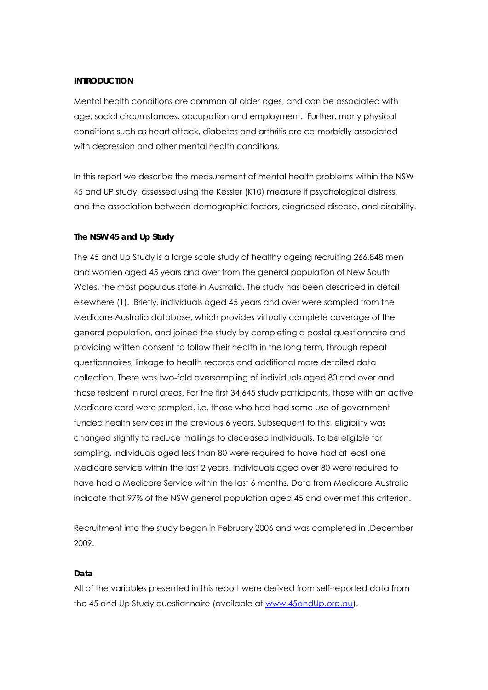#### **INTRODUCTION**

Mental health conditions are common at older ages, and can be associated with age, social circumstances, occupation and employment. Further, many physical conditions such as heart attack, diabetes and arthritis are co-morbidly associated with depression and other mental health conditions.

In this report we describe the measurement of mental health problems within the NSW 45 and UP study, assessed using the Kessler (K10) measure if psychological distress, and the association between demographic factors, diagnosed disease, and disability.

#### **The NSW 45 and Up Study**

The 45 and Up Study is a large scale study of healthy ageing recruiting 266,848 men and women aged 45 years and over from the general population of New South Wales, the most populous state in Australia. The study has been described in detail elsewhere (1). Briefly, individuals aged 45 years and over were sampled from the Medicare Australia database, which provides virtually complete coverage of the general population, and joined the study by completing a postal questionnaire and providing written consent to follow their health in the long term, through repeat questionnaires, linkage to health records and additional more detailed data collection. There was two-fold oversampling of individuals aged 80 and over and those resident in rural areas. For the first 34,645 study participants, those with an active Medicare card were sampled, i.e. those who had had some use of government funded health services in the previous 6 years. Subsequent to this, eligibility was changed slightly to reduce mailings to deceased individuals. To be eligible for sampling, individuals aged less than 80 were required to have had at least one Medicare service within the last 2 years. Individuals aged over 80 were required to have had a Medicare Service within the last 6 months. Data from Medicare Australia indicate that 97% of the NSW general population aged 45 and over met this criterion.

Recruitment into the study began in February 2006 and was completed in .December 2009.

#### **Data**

All of the variables presented in this report were derived from self-reported data from the 45 and Up Study questionnaire (available at www.45andUp.org.au).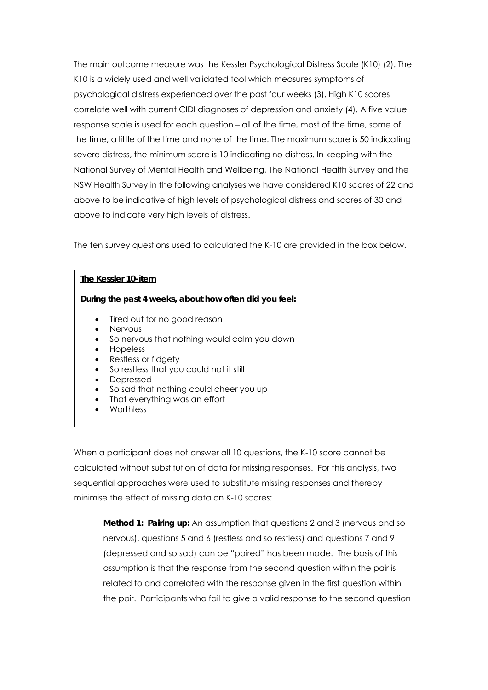The main outcome measure was the Kessler Psychological Distress Scale (K10) (2). The K10 is a widely used and well validated tool which measures symptoms of psychological distress experienced over the past four weeks (3). High K10 scores correlate well with current CIDI diagnoses of depression and anxiety (4). A five value response scale is used for each question – all of the time, most of the time, some of the time, a little of the time and none of the time. The maximum score is 50 indicating severe distress, the minimum score is 10 indicating no distress. In keeping with the National Survey of Mental Health and Wellbeing, The National Health Survey and the NSW Health Survey in the following analyses we have considered K10 scores of 22 and above to be indicative of high levels of psychological distress and scores of 30 and above to indicate very high levels of distress.

The ten survey questions used to calculated the K-10 are provided in the box below.

| The Kessler 10-item                                                                                                                                                                                                                                                                                                                       |
|-------------------------------------------------------------------------------------------------------------------------------------------------------------------------------------------------------------------------------------------------------------------------------------------------------------------------------------------|
| During the past 4 weeks, about how often did you feel:                                                                                                                                                                                                                                                                                    |
| Tired out for no good reason<br>$\bullet$<br><b>Nervous</b><br>So nervous that nothing would calm you down<br>٠<br>Hopeless<br>Restless or fidgety<br>$\bullet$<br>So restless that you could not it still<br>Depressed<br>So sad that nothing could cheer you up<br>$\bullet$<br>That everything was an effort<br>$\bullet$<br>Worthless |

When a participant does not answer all 10 questions, the K-10 score cannot be calculated without substitution of data for missing responses. For this analysis, two sequential approaches were used to substitute missing responses and thereby minimise the effect of missing data on K-10 scores:

**Method 1: Pairing up:** An assumption that questions 2 and 3 (nervous and so nervous), questions 5 and 6 (restless and so restless) and questions 7 and 9 (depressed and so sad) can be "paired" has been made. The basis of this assumption is that the response from the second question within the pair is related to and correlated with the response given in the first question within the pair. Participants who fail to give a valid response to the second question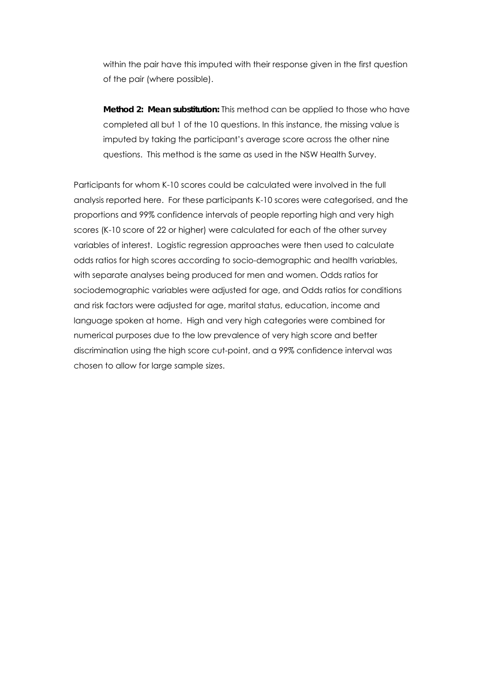within the pair have this imputed with their response given in the first question of the pair (where possible).

**Method 2: Mean substitution:** This method can be applied to those who have completed all but 1 of the 10 questions. In this instance, the missing value is imputed by taking the participant's average score across the other nine questions. This method is the same as used in the NSW Health Survey.

Participants for whom K-10 scores could be calculated were involved in the full analysis reported here. For these participants K-10 scores were categorised, and the proportions and 99% confidence intervals of people reporting high and very high scores (K-10 score of 22 or higher) were calculated for each of the other survey variables of interest. Logistic regression approaches were then used to calculate odds ratios for high scores according to socio-demographic and health variables, with separate analyses being produced for men and women. Odds ratios for sociodemographic variables were adjusted for age, and Odds ratios for conditions and risk factors were adjusted for age, marital status, education, income and language spoken at home. High and very high categories were combined for numerical purposes due to the low prevalence of very high score and better discrimination using the high score cut-point, and a 99% confidence interval was chosen to allow for large sample sizes.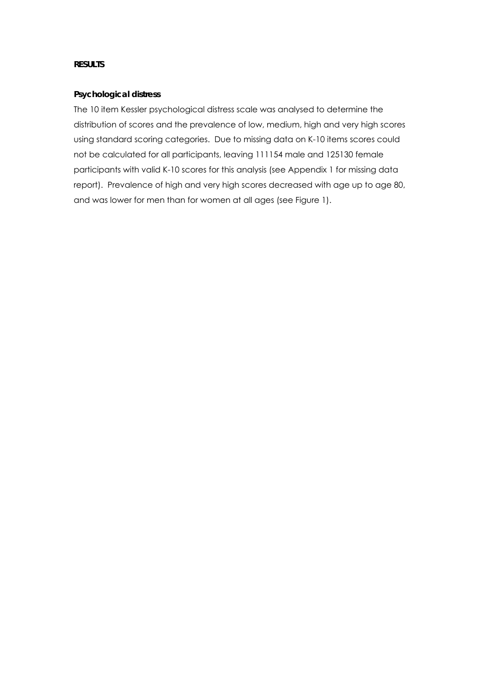#### **RESULTS**

#### **Psychological distress**

The 10 item Kessler psychological distress scale was analysed to determine the distribution of scores and the prevalence of low, medium, high and very high scores using standard scoring categories. Due to missing data on K-10 items scores could not be calculated for all participants, leaving 111154 male and 125130 female participants with valid K-10 scores for this analysis (see Appendix 1 for missing data report). Prevalence of high and very high scores decreased with age up to age 80, and was lower for men than for women at all ages (see Figure 1).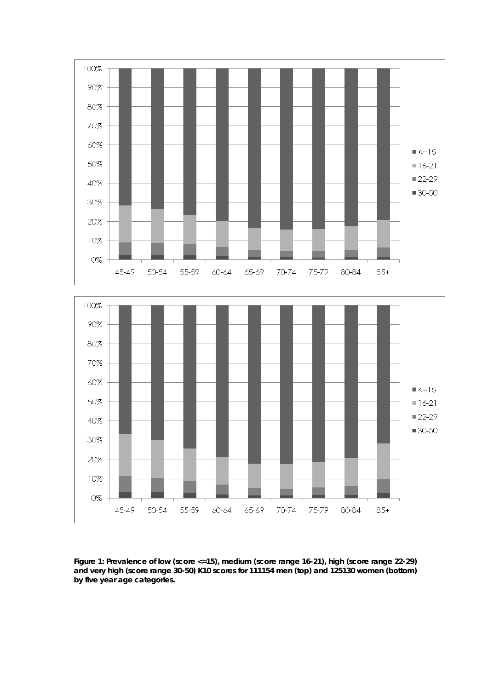

**Figure 1: Prevalence of low (score <=15), medium (score range 16-21), high (score range 22-29) and very high (score range 30-50) K10 scores for 111154 men (top) and 125130 women (bottom) by five year age categories.**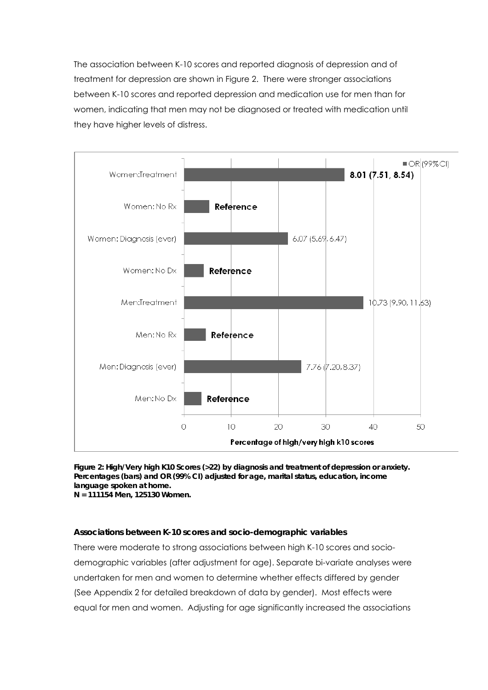The association between K-10 scores and reported diagnosis of depression and of treatment for depression are shown in Figure 2. There were stronger associations between K-10 scores and reported depression and medication use for men than for women, indicating that men may not be diagnosed or treated with medication until they have higher levels of distress.



**Figure 2: High/Very high K10 Scores (>22) by** *diagnosis and treatment of depression or anxiety***. Percentages (bars) and OR (99% CI) adjusted for age, marital status, education, income language spoken at home. N = 111154 Men, 125130 Women.** 

#### **Associations between K-10 scores and socio-demographic variables**

There were moderate to strong associations between high K-10 scores and sociodemographic variables (after adjustment for age). Separate bi-variate analyses were undertaken for men and women to determine whether effects differed by gender (See Appendix 2 for detailed breakdown of data by gender). Most effects were equal for men and women. Adjusting for age significantly increased the associations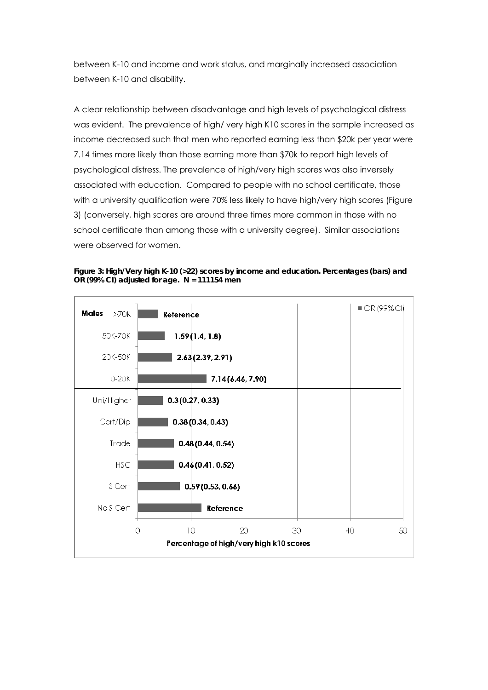between K-10 and income and work status, and marginally increased association between K-10 and disability.

A clear relationship between disadvantage and high levels of psychological distress was evident. The prevalence of high/ very high K10 scores in the sample increased as income decreased such that men who reported earning less than \$20k per year were 7.14 times more likely than those earning more than \$70k to report high levels of psychological distress. The prevalence of high/very high scores was also inversely associated with education. Compared to people with no school certificate, those with a university qualification were 70% less likely to have high/very high scores (Figure 3) (conversely, high scores are around three times more common in those with no school certificate than among those with a university degree). Similar associations were observed for women.

**Figure 3: High/Very high K-10 (>22) scores by income and education. Percentages (bars) and OR (99% CI) adjusted for age. N = 111154 men** 

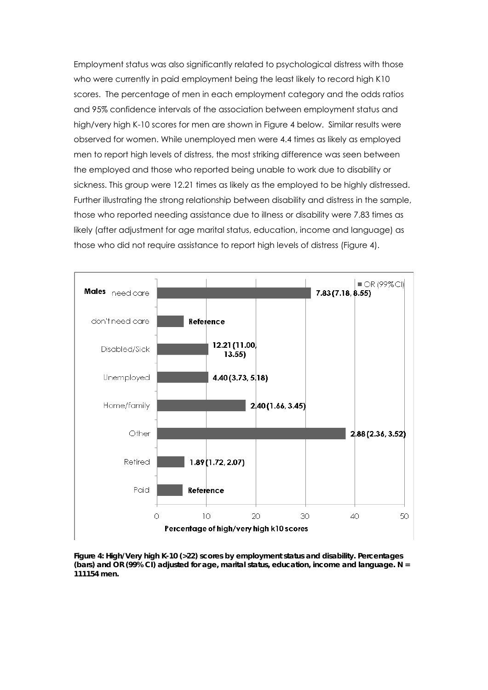Employment status was also significantly related to psychological distress with those who were currently in paid employment being the least likely to record high K10 scores. The percentage of men in each employment category and the odds ratios and 95% confidence intervals of the association between employment status and high/very high K-10 scores for men are shown in Figure 4 below. Similar results were observed for women. While unemployed men were 4.4 times as likely as employed men to report high levels of distress, the most striking difference was seen between the employed and those who reported being unable to work due to disability or sickness. This group were 12.21 times as likely as the employed to be highly distressed. Further illustrating the strong relationship between disability and distress in the sample, those who reported needing assistance due to illness or disability were 7.83 times as likely (after adjustment for age marital status, education, income and language) as those who did not require assistance to report high levels of distress (Figure 4).



**Figure 4: High/Very high K-10 (>22) scores** *by employment status and disability***. Percentages (bars) and OR (99% CI) adjusted for age, marital status, education, income and language. N = 111154 men.**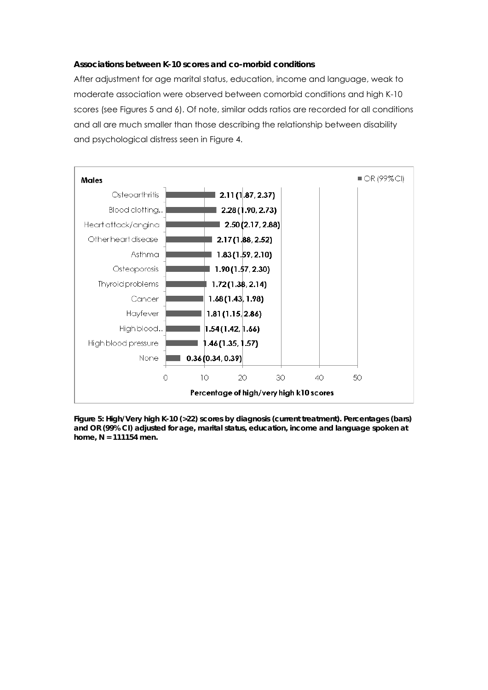#### **Associations between K-10 scores and co-morbid conditions**

After adjustment for age marital status, education, income and language, weak to moderate association were observed between comorbid conditions and high K-10 scores (see Figures 5 and 6). Of note, similar odds ratios are recorded for all conditions and all are much smaller than those describing the relationship between disability and psychological distress seen in Figure 4.



**Figure 5: High/Very high K-10 (>22) scores by diagnosis (current treatment). Percentages (bars) and OR (99% CI) adjusted for age, marital status, education, income and language spoken at home, N = 111154 men.**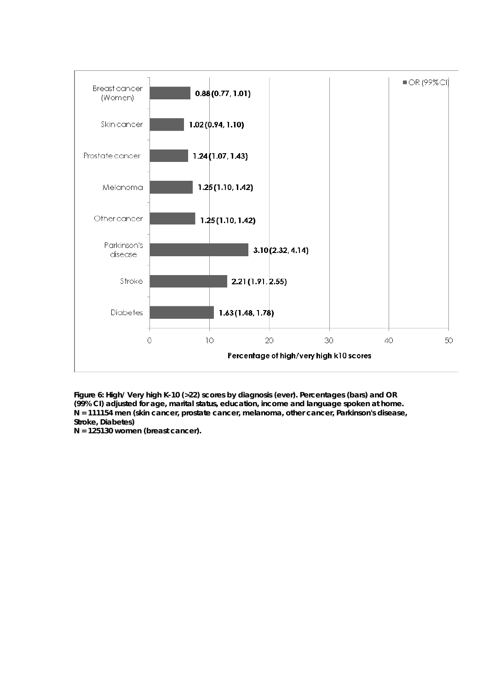

**Figure 6: High/ Very high K-10 (>22) scores by diagnosis (ever). Percentages (bars) and OR (99% CI) adjusted for age, marital status, education, income and language spoken at home. N = 111154 men (skin cancer, prostate cancer, melanoma, other cancer, Parkinson's disease, Stroke, Diabetes)** 

**N = 125130 women (breast cancer).**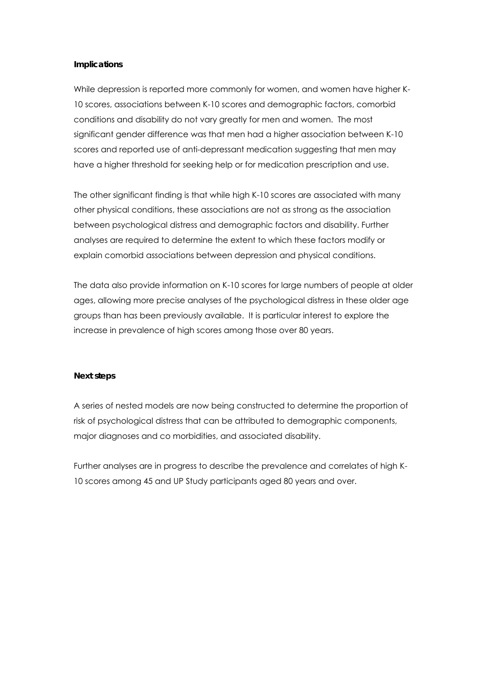#### **Implications**

While depression is reported more commonly for women, and women have higher K-10 scores, associations between K-10 scores and demographic factors, comorbid conditions and disability do not vary greatly for men and women. The most significant gender difference was that men had a higher association between K-10 scores and reported use of anti-depressant medication suggesting that men may have a higher threshold for seeking help or for medication prescription and use.

The other significant finding is that while high K-10 scores are associated with many other physical conditions, these associations are not as strong as the association between psychological distress and demographic factors and disability. Further analyses are required to determine the extent to which these factors modify or explain comorbid associations between depression and physical conditions.

The data also provide information on K-10 scores for large numbers of people at older ages, allowing more precise analyses of the psychological distress in these older age groups than has been previously available. It is particular interest to explore the increase in prevalence of high scores among those over 80 years.

#### **Next steps**

A series of nested models are now being constructed to determine the proportion of risk of psychological distress that can be attributed to demographic components, major diagnoses and co morbidities, and associated disability.

Further analyses are in progress to describe the prevalence and correlates of high K-10 scores among 45 and UP Study participants aged 80 years and over.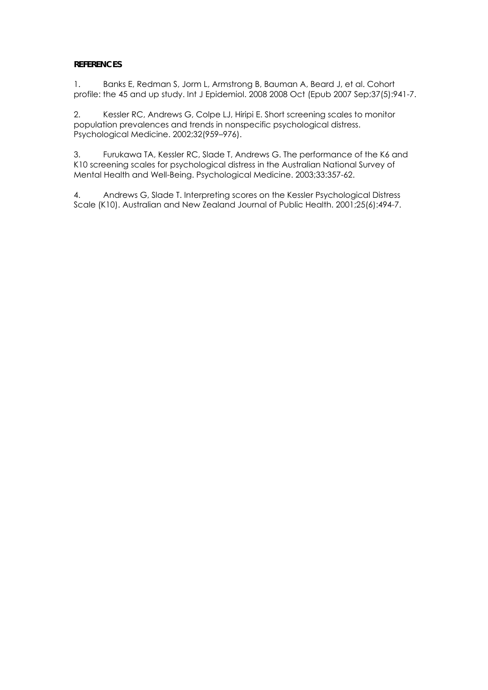## **REFERENCES**

1. Banks E, Redman S, Jorm L, Armstrong B, Bauman A, Beard J, et al. Cohort profile: the 45 and up study. Int J Epidemiol. 2008 2008 Oct (Epub 2007 Sep;37(5):941-7.

2. Kessler RC, Andrews G, Colpe LJ, Hiripi E. Short screening scales to monitor population prevalences and trends in nonspecific psychological distress. Psychological Medicine. 2002;32(959–976).

3. Furukawa TA, Kessler RC, Slade T, Andrews G. The performance of the K6 and K10 screening scales for psychological distress in the Australian National Survey of Mental Health and Well-Being. Psychological Medicine. 2003;33:357-62.

4. Andrews G, Slade T. Interpreting scores on the Kessler Psychological Distress Scale (K10). Australian and New Zealand Journal of Public Health. 2001;25(6):494-7.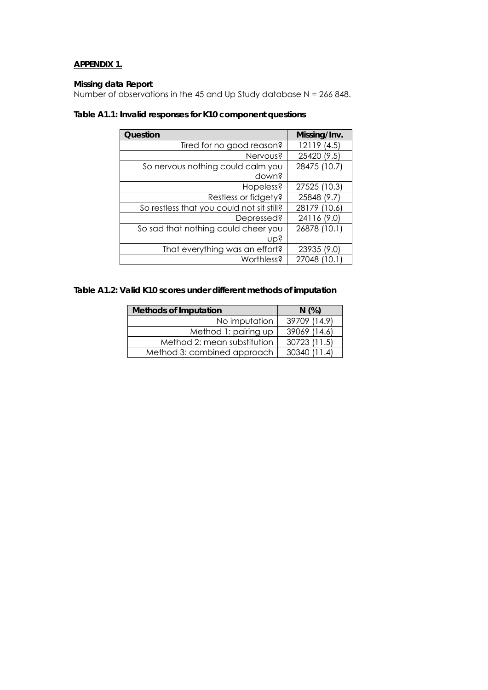# **APPENDIX 1.**

#### **Missing data Report**

Number of observations in the 45 and Up Study database  $N = 266848$ .

| Question                                  | Missing/Inv. |
|-------------------------------------------|--------------|
| Tired for no good reason?                 | 12119 (4.5)  |
| Nervous?                                  | 25420 (9.5)  |
| So nervous nothing could calm you         | 28475 (10.7) |
| down?                                     |              |
| Hopeless?                                 | 27525 (10.3) |
| Restless or fidgety?                      | 25848 (9.7)  |
| So restless that you could not sit still? | 28179 (10.6) |
| Depressed?                                | 24116 (9.0)  |
| So sad that nothing could cheer you       | 26878 (10.1) |
| ubs                                       |              |
| That everything was an effort?            | 23935 (9.0)  |
| Worthless?                                | 27048 (10.1) |

# **Table A1.1: Invalid responses for K10 component questions**

# **Table A1.2: Valid K10 scores under different methods of imputation**

| <b>Methods of Imputation</b> | N(%)           |
|------------------------------|----------------|
| No imputation                | 39709 (14.9)   |
| Method 1: pairing up         | 39069 (14.6)   |
| Method 2: mean substitution  | 30723 (11.5)   |
| Method 3: combined approach  | $30340$ (11 4) |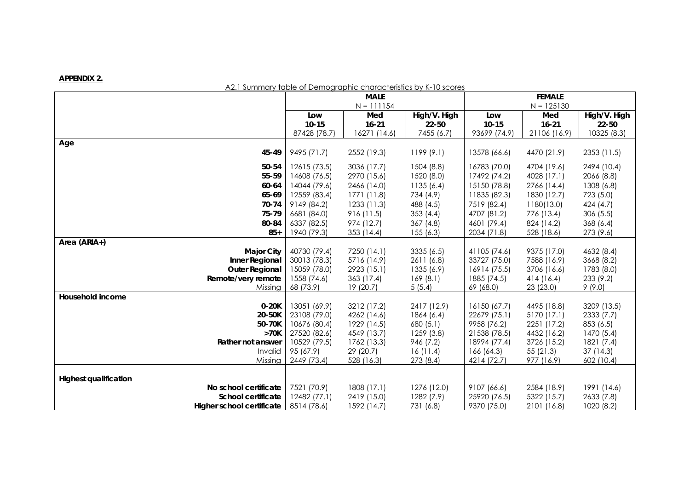#### **APPENDIX 2.**

#### A2.1 Summary table of Demographic characteristics by K-10 scores

|                              | <b>MALE</b>  |                        |              | <b>FEMALE</b> |              |                        |
|------------------------------|--------------|------------------------|--------------|---------------|--------------|------------------------|
|                              |              | $N = 111154$           |              |               | $N = 125130$ |                        |
|                              | Low          | Med                    | High/V. High | Low           | Med          | High/V. High           |
|                              | $10 - 15$    | $16 - 21$              | 22-50        | $10 - 15$     | $16 - 21$    | 22-50                  |
|                              | 87428 (78.7) | 16271 (14.6)           | 7455 (6.7)   | 93699 (74.9)  | 21106 (16.9) | 10325 (8.3)            |
| Age                          |              |                        |              |               |              |                        |
| 45-49                        | 9495 (71.7)  | 2552 (19.3)            | 1199(9.1)    | 13578 (66.6)  | 4470 (21.9)  | 2353 (11.5)            |
| 50-54                        | 12615 (73.5) | 3036 (17.7)            | 1504 (8.8)   | 16783 (70.0)  | 4704 (19.6)  | 2494 (10.4)            |
| 55-59                        | 14608 (76.5) | 2970 (15.6)            | 1520 (8.0)   | 17492 (74.2)  | 4028 (17.1)  | 2066 (8.8)             |
| 60-64                        | 14044 (79.6) | 2466 (14.0)            | 1135(6.4)    | 15150 (78.8)  | 2766 (14.4)  | 1308 (6.8)             |
| 65-69                        | 12559 (83.4) | 1771 (11.8)            | 734 (4.9)    | 11835 (82.3)  | 1830 (12.7)  | 723 (5.0)              |
| 70-74                        | 9149 (84.2)  | 1233(11.3)             | 488 (4.5)    | 7519 (82.4)   | 1180(13.0)   | 424 (4.7)              |
| 75-79                        | 6681 (84.0)  | 916 (11.5)             | 353(4.4)     | 4707 (81.2)   | 776 (13.4)   | 306 (5.5)              |
| 80-84                        | 6337 (82.5)  | 974 (12.7)             | 367(4.8)     | 4601 (79.4)   | 824 (14.2)   | 368 (6.4)              |
| $85+$                        | 1940 (79.3)  | 353 (14.4)             | 155(6.3)     | 2034 (71.8)   | 528 (18.6)   | 273 (9.6)              |
| Area (ARIA+)                 |              |                        |              |               |              |                        |
| <b>Major City</b>            | 40730 (79.4) | 7250 (14.1)            | 3335 (6.5)   | 41105 (74.6)  | 9375 (17.0)  | 4632 (8.4)             |
| Inner Regional               | 30013 (78.3) | 5716 (14.9)            | 2611 (6.8)   | 33727 (75.0)  | 7588 (16.9)  | 3668 (8.2)             |
| <b>Outer Regional</b>        | 15059 (78.0) | 2923 (15.1)            | 1335 (6.9)   | 16914 (75.5)  | 3706 (16.6)  | 1783 (8.0)             |
| Remote/very remote           | 1558 (74.6)  | 363 (17.4)             | 169(8.1)     | 1885 (74.5)   | 414 (16.4)   | 233 (9.2)              |
| Missing                      | 68 (73.9)    | 19(20.7)               | 5(5.4)       | 69 (68.0)     | 23 (23.0)    | 9(9.0)                 |
| Household income             |              |                        |              |               |              |                        |
| $0-20K$                      | 13051 (69.9) | 3212 (17.2)            | 2417 (12.9)  | 16150 (67.7)  | 4495 (18.8)  | 3209 (13.5)            |
| 20-50K                       | 23108 (79.0) | 4262 (14.6)            | 1864 (6.4)   | 22679 (75.1)  | 5170 (17.1)  | 2333(7.7)              |
| 50-70K                       | 10676 (80.4) | 1929 (14.5)            | 680 (5.1)    | 9958 (76.2)   | 2251 (17.2)  | 853 (6.5)              |
| >70K                         | 27520 (82.6) | 4549 (13.7)            | 1259(3.8)    | 21538 (78.5)  | 4432 (16.2)  | 1470 (5.4)             |
| Rather not answer            | 10529 (79.5) | 1762 (13.3)            | 946 (7.2)    | 18994 (77.4)  | 3726 (15.2)  | 1821 (7.4)             |
| Invalid                      | 95 (67.9)    | 29(20.7)<br>528 (16.3) | 16(11.4)     | 166 (64.3)    | 55(21.3)     | 37(14.3)<br>602 (10.4) |
| Missing                      | 2449 (73.4)  |                        | 273 (8.4)    | 4214 (72.7)   | 977 (16.9)   |                        |
| <b>Highest qualification</b> |              |                        |              |               |              |                        |
| No school certificate        | 7521 (70.9)  | 1808 (17.1)            | 1276 (12.0)  | 9107 (66.6)   | 2584 (18.9)  | 1991 (14.6)            |
| School certificate           | 12482 (77.1) | 2419 (15.0)            | 1282(7.9)    | 25920 (76.5)  | 5322 (15.7)  | 2633 (7.8)             |
| Higher school certificate    | 8514 (78.6)  | 1592 (14.7)            | 731 (6.8)    | 9370 (75.0)   | 2101 (16.8)  | 1020 (8.2)             |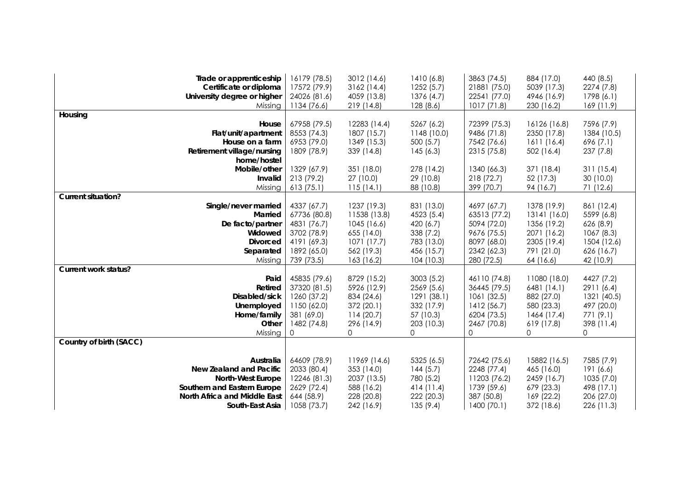| Trade or apprenticeship<br>Certificate or diploma       | 16179 (78.5)<br>17572 (79.9) | 3012 (14.6)<br>3162(14.4)  | 1410(6.8)<br>1252(5.7)  | 3863 (74.5)<br>21881 (75.0) | 884 (17.0)<br>5039 (17.3)   | 440 (8.5)<br>2274 (7.8) |
|---------------------------------------------------------|------------------------------|----------------------------|-------------------------|-----------------------------|-----------------------------|-------------------------|
| University degree or higher                             | 24026 (81.6)                 | 4059 (13.8)                | 1376 (4.7)              | 22541 (77.0)                | 4946 (16.9)                 | 1798 (6.1)              |
| Missing                                                 | 1134 (76.6)                  | 219 (14.8)                 | 128(8.6)                | 1017(71.8)                  | 230 (16.2)                  | 169(11.9)               |
| Housing                                                 |                              |                            |                         |                             |                             |                         |
| House                                                   | 67958 (79.5)                 | 12283 (14.4)               | 5267 (6.2)              | 72399 (75.3)                | 16126 (16.8)                | 7596 (7.9)              |
| Flat/unit/apartment                                     | 8553 (74.3)                  | 1807 (15.7)                | 1148 (10.0)             | 9486 (71.8)                 | 2350 (17.8)                 | 1384 (10.5)             |
| House on a farm                                         | 6953 (79.0)                  | 1349 (15.3)                | 500(5.7)                | 7542 (76.6)                 | 1611 (16.4)                 | 696 (7.1)               |
| Retirement village/nursing                              | 1809 (78.9)                  | 339 (14.8)                 | 145(6.3)                | 2315 (75.8)                 | 502(16.4)                   | 237 (7.8)               |
| home/hostel                                             |                              |                            |                         |                             |                             |                         |
| Mobile/other                                            | 1329 (67.9)                  | 351 (18.0)                 | 278 (14.2)              | 1340 (66.3)                 | 371 (18.4)                  | 311(15.4)               |
| Invalid                                                 | 213 (79.2)                   | 27 (10.0)                  | 29 (10.8)               | 218(72.7)                   | 52 (17.3)                   | 30 (10.0)               |
| Missing                                                 | 613(75.1)                    | 115(14.1)                  | 88 (10.8)               | 399 (70.7)                  | 94 (16.7)                   | 71 (12.6)               |
| <b>Current situation?</b>                               |                              |                            |                         |                             |                             |                         |
| Single/never married                                    | 4337 (67.7)                  | 1237 (19.3)                | 831 (13.0)              | 4697 (67.7)                 | 1378 (19.9)                 | 861 (12.4)              |
| Married                                                 | 67736 (80.8)<br>4831 (76.7)  | 11538 (13.8)<br>1045(16.6) | 4523 (5.4)<br>420 (6.7) | 63513 (77.2)<br>5094 (72.0) | 13141 (16.0)<br>1356 (19.2) | 5599 (6.8)              |
| De facto/partner<br>Widowed                             | 3702 (78.9)                  | 655 (14.0)                 | 338(7.2)                | 9676 (75.5)                 | 2071 (16.2)                 | 626(8.9)<br>1067(8.3)   |
| <b>Divorced</b>                                         | 4191 (69.3)                  | 1071(17.7)                 | 783 (13.0)              | 8097 (68.0)                 | 2305 (19.4)                 | 1504 (12.6)             |
| Separated                                               | 1892 (65.0)                  | 562 (19.3)                 | 456 (15.7)              | 2342 (62.3)                 | 791 (21.0)                  | 626 (16.7)              |
| Missing                                                 | 739 (73.5)                   | 163 (16.2)                 | 104(10.3)               | 280 (72.5)                  | 64 (16.6)                   | 42 (10.9)               |
| Current work status?                                    |                              |                            |                         |                             |                             |                         |
| Paid                                                    | 45835 (79.6)                 | 8729 (15.2)                | 3003(5.2)               | 46110 (74.8)                | 11080 (18.0)                | 4427 (7.2)              |
| Retired                                                 | 37320 (81.5)                 | 5926 (12.9)                | 2569 (5.6)              | 36445 (79.5)                | 6481 (14.1)                 | 2911 (6.4)              |
| Disabled/sick                                           | 1260 (37.2)                  | 834 (24.6)                 | 1291 (38.1)             | 1061 (32.5)                 | 882 (27.0)                  | 1321 (40.5)             |
| Unemployed                                              | 1150 (62.0)                  | 372 (20.1)                 | 332 (17.9)              | 1412 (56.7)                 | 580 (23.3)                  | 497 (20.0)              |
| Home/family                                             | 381 (69.0)                   | 114(20.7)                  | 57 (10.3)               | 6204 (73.5)                 | 1464 (17.4)                 | 771 (9.1)               |
| Other                                                   | 1482 (74.8)                  | 296 (14.9)                 | 203 (10.3)              | 2467 (70.8)                 | 619 (17.8)                  | 398 (11.4)              |
| Missing                                                 | 0                            | 0                          | 0                       | 0                           | 0                           | 0                       |
| Country of birth (SACC)                                 |                              |                            |                         |                             |                             |                         |
|                                                         |                              |                            |                         |                             |                             |                         |
| Australia                                               | 64609 (78.9)                 | 11969 (14.6)               | 5325 (6.5)              | 72642 (75.6)                | 15882 (16.5)                | 7585 (7.9)              |
| New Zealand and Pacific                                 | 2033 (80.4)                  | 353 (14.0)<br>2037 (13.5)  | 144(5.7)<br>780 (5.2)   | 2248 (77.4)                 | 465 (16.0)                  | 191 (6.6)<br>1035(7.0)  |
| <b>North-West Europe</b><br>Southern and Eastern Europe | 12246 (81.3)<br>2629 (72.4)  | 588 (16.2)                 | 414(11.4)               | 11203 (76.2)<br>1739 (59.6) | 2459 (16.7)<br>679 (23.3)   | 498 (17.1)              |
| North Africa and Middle East                            | 644 (58.9)                   | 228 (20.8)                 | 222 (20.3)              | 387 (50.8)                  | 169 (22.2)                  | 206 (27.0)              |
| South-East Asia                                         | 1058 (73.7)                  | 242 (16.9)                 | 135(9.4)                | 1400(70.1)                  | 372 (18.6)                  | 226 (11.3)              |
|                                                         |                              |                            |                         |                             |                             |                         |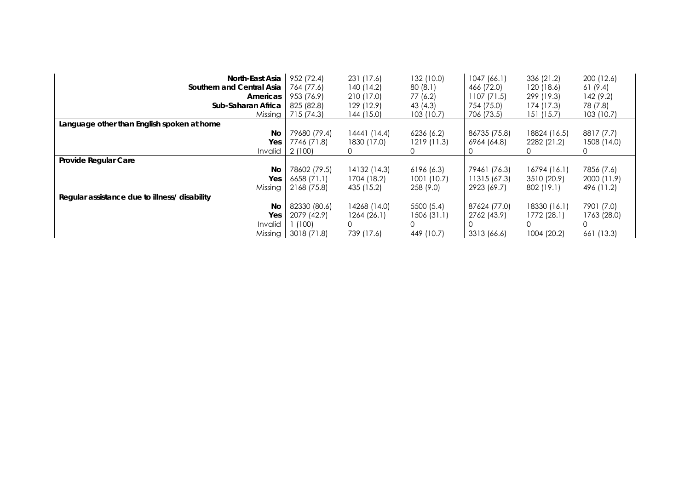| North-East Asia                               | 952 (72.4)   | 231 (17.6)   | 132 (10.0)  | 1047(66.1)   | 336 (21.2)   | 200 (12.6)  |
|-----------------------------------------------|--------------|--------------|-------------|--------------|--------------|-------------|
| Southern and Central Asia                     | 764 (77.6)   | 140(14.2)    | 80(8.1)     | 466 (72.0)   | 120(18.6)    | 61 (9.4)    |
| Americas                                      | 953 (76.9)   | 210 (17.0)   | 77 (6.2)    | 1107(71.5)   | 299 (19.3)   | 142 (9.2)   |
| Sub-Saharan Africa                            | 825 (82.8)   | 129 (12.9)   | 43 (4.3)    | 754 (75.0)   | 174 (17.3)   | 78 (7.8)    |
| Missing                                       | 715 (74.3)   | 144 (15.0)   | 103(10.7)   | 706 (73.5)   | 151 (15.7)   | 103(10.7)   |
| Language other than English spoken at home    |              |              |             |              |              |             |
| No                                            | 79680 (79.4) | 14441 (14.4) | 6236(6.2)   | 86735 (75.8) | 18824 (16.5) | 8817 (7.7)  |
| Yes                                           | 7746 (71.8)  | 1830 (17.0)  | 1219(11.3)  | 6964 (64.8)  | 2282 (21.2)  | 1508 (14.0) |
| Invalid                                       | 2(100)       |              |             |              |              |             |
| Provide Regular Care                          |              |              |             |              |              |             |
| No                                            | 78602 (79.5) | 14132 (14.3) | 6196(6.3)   | 79461 (76.3) | 16794 (16.1) | 7856 (7.6)  |
| Yes                                           | 6658 (71.1)  | 1704 (18.2)  | 1001 (10.7) | 11315 (67.3) | 3510 (20.9)  | 2000 (11.9) |
| Missing                                       | 2168 (75.8)  | 435 (15.2)   | 258 (9.0)   | 2923 (69.7)  | 802 (19.1)   | 496 (11.2)  |
| Regular assistance due to illness/ disability |              |              |             |              |              |             |
| No                                            | 82330 (80.6) | 14268 (14.0) | 5500 (5.4)  | 87624 (77.0) | 18330 (16.1) | 7901 (7.0)  |
| Yes                                           | 2079 (42.9)  | 1264(26.1)   | 1506 (31.1) | 2762 (43.9)  | 1772 (28.1)  | 1763 (28.0) |
| Invalid                                       | (100)        | 0            | 0           |              |              | 0           |
| Missing                                       | 3018 (71.8)  | 739 (17.6)   | 449 (10.7)  | 3313 (66.6)  | 1004 (20.2)  | 661 (13.3)  |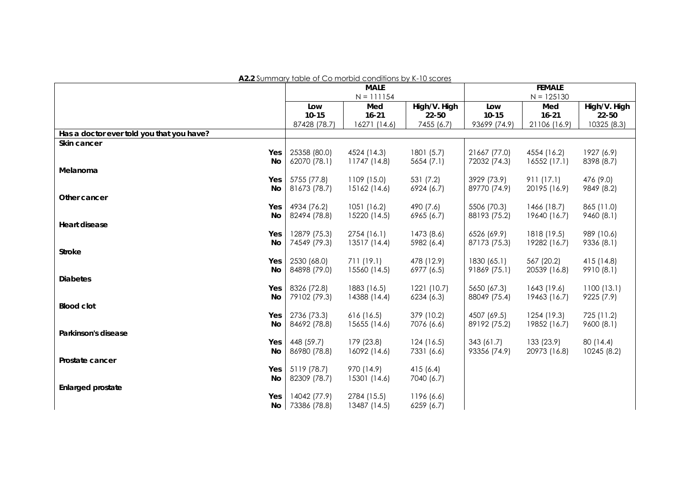**A2.2** Summary table of Co morbid conditions by K-10 scores

|                                           | <b>MALE</b>  |              | <b>FEMALE</b> |              |              |              |
|-------------------------------------------|--------------|--------------|---------------|--------------|--------------|--------------|
|                                           |              | $N = 111154$ |               |              | $N = 125130$ |              |
|                                           | Low          | Med          | High/V. High  | Low          | Med          | High/V. High |
|                                           | $10 - 15$    | $16 - 21$    | $22 - 50$     | $10 - 15$    | $16 - 21$    | $22 - 50$    |
|                                           | 87428 (78.7) | 16271 (14.6) | 7455 (6.7)    | 93699 (74.9) | 21106 (16.9) | 10325 (8.3)  |
| Has a doctor ever told you that you have? |              |              |               |              |              |              |
| Skin cancer                               |              |              |               |              |              |              |
| Yes                                       | 25358 (80.0) | 4524 (14.3)  | 1801(5.7)     | 21667 (77.0) | 4554 (16.2)  | 1927 (6.9)   |
| No                                        | 62070 (78.1) | 11747 (14.8) | 5654(7.1)     | 72032 (74.3) | 16552 (17.1) | 8398 (8.7)   |
| Melanoma                                  |              |              |               |              |              |              |
| Yes                                       | 5755 (77.8)  | 1109 (15.0)  | 531 (7.2)     | 3929 (73.9)  | 911(17.1)    | 476 (9.0)    |
| No                                        | 81673 (78.7) | 15162 (14.6) | 6924 (6.7)    | 89770 (74.9) | 20195 (16.9) | 9849 (8.2)   |
| Other cancer                              |              |              |               |              |              |              |
| Yes                                       | 4934 (76.2)  | 1051(16.2)   | 490 (7.6)     | 5506 (70.3)  | 1466 (18.7)  | 865 (11.0)   |
| <b>No</b>                                 | 82494 (78.8) | 15220 (14.5) | 6965 (6.7)    | 88193 (75.2) | 19640 (16.7) | 9460(8.1)    |
| Heart disease                             |              |              |               |              |              |              |
| Yes                                       | 12879 (75.3) | 2754 (16.1)  | 1473 (8.6)    | 6526 (69.9)  | 1818 (19.5)  | 989 (10.6)   |
| No                                        | 74549 (79.3) | 13517 (14.4) | 5982 (6.4)    | 87173 (75.3) | 19282 (16.7) | 9336 (8.1)   |
| <b>Stroke</b>                             |              |              |               |              |              |              |
| Yes                                       | 2530 (68.0)  | 711 (19.1)   | 478 (12.9)    | 1830 (65.1)  | 567 (20.2)   | 415 (14.8)   |
| No                                        | 84898 (79.0) | 15560 (14.5) | 6977 (6.5)    | 91869 (75.1) | 20539 (16.8) | 9910 (8.1)   |
| <b>Diabetes</b>                           |              |              |               |              |              |              |
| Yes                                       | 8326 (72.8)  | 1883 (16.5)  | 1221(10.7)    | 5650 (67.3)  | 1643 (19.6)  | 1100(13.1)   |
| No                                        | 79102 (79.3) | 14388 (14.4) | 6234(6.3)     | 88049 (75.4) | 19463 (16.7) | 9225 (7.9)   |
| <b>Blood clot</b>                         |              |              |               |              |              |              |
| Yes                                       | 2736 (73.3)  | 616(16.5)    | 379 (10.2)    | 4507 (69.5)  | 1254 (19.3)  | 725 (11.2)   |
| No                                        | 84692 (78.8) | 15655 (14.6) | 7076 (6.6)    | 89192 (75.2) | 19852 (16.7) | 9600(8.1)    |
| Parkinson's disease                       |              |              |               |              |              |              |
| Yes                                       | 448 (59.7)   | 179 (23.8)   | 124(16.5)     | 343(61.7)    | 133(23.9)    | 80 (14.4)    |
| No                                        | 86980 (78.8) | 16092 (14.6) | 7331 (6.6)    | 93356 (74.9) | 20973 (16.8) | 10245 (8.2)  |
| Prostate cancer                           |              |              |               |              |              |              |
| Yes                                       | 5119 (78.7)  | 970 (14.9)   | 415(6.4)      |              |              |              |
| No                                        | 82309 (78.7) | 15301 (14.6) | 7040 (6.7)    |              |              |              |
| <b>Enlarged prostate</b>                  |              |              |               |              |              |              |
| Yes                                       | 14042 (77.9) | 2784 (15.5)  | 1196 (6.6)    |              |              |              |
| No <sub>1</sub>                           | 73386 (78.8) | 13487 (14.5) | 6259(6.7)     |              |              |              |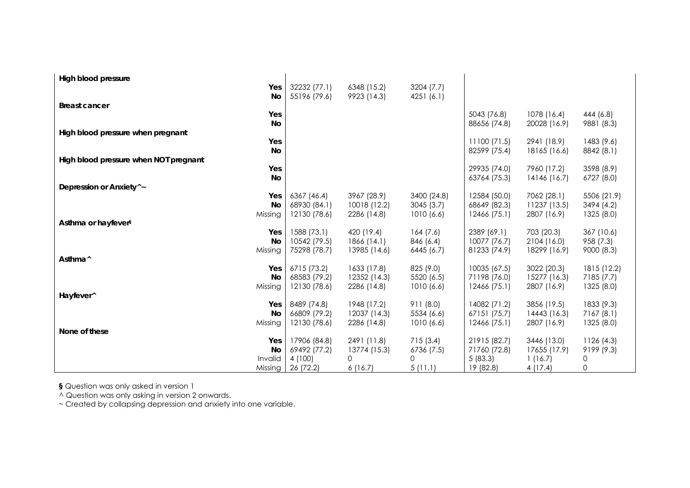| High blood pressure                   |                             |                             |                          |                              |                             |                           |
|---------------------------------------|-----------------------------|-----------------------------|--------------------------|------------------------------|-----------------------------|---------------------------|
| Yes                                   | 32232 (77.1)                | 6348 (15.2)                 | 3204 (7.7)               |                              |                             |                           |
| No<br><b>Breast cancer</b>            | 55196 (79.6)                | 9923 (14.3)                 | 4251 (6.1)               |                              |                             |                           |
| Yes                                   |                             |                             |                          | 5043 (76.8)                  | 1078 (16.4)                 | 444 (6.8)                 |
| No                                    |                             |                             |                          | 88656 (74.8)                 | 20028 (16.9)                | 9881 (8.3)                |
| High blood pressure when pregnant     |                             |                             |                          |                              |                             |                           |
| Yes<br>No                             |                             |                             |                          | 11100(71.5)<br>82599 (75.4)  | 2941 (18.9)<br>18165 (16.6) | 1483 (9.6)<br>8842 (8.1)  |
| High blood pressure when NOT pregnant |                             |                             |                          |                              |                             |                           |
| Yes                                   |                             |                             |                          | 29935 (74.0)                 | 7960 (17.2)                 | 3598 (8.9)                |
| No                                    |                             |                             |                          | 63764 (75.3)                 | 14146 (16.7)                | 6727 (8.0)                |
| Depression or Anxiety <sup>^</sup> ~  |                             |                             |                          |                              |                             |                           |
| Yes<br>No                             | 6367 (46.4)<br>68930 (84.1) | 3967 (28.9)<br>10018 (12.2) | 3400 (24.8)<br>3045(3.7) | 12584 (50.0)<br>68649 (82.3) | 7062 (28.1)<br>11237 (13.5) | 5506 (21.9)<br>3494 (4.2) |
| Missing                               | 12130 (78.6)                | 2286 (14.8)                 | 1010(6.6)                | 12466 (75.1)                 | 2807 (16.9)                 | 1325 (8.0)                |
| Asthma or hayfever <sup>§</sup>       |                             |                             |                          |                              |                             |                           |
| Yes                                   | 1588 (73.1)                 | 420 (19.4)                  | 164(7.6)                 | 2389 (69.1)                  | 703 (20.3)                  | 367 (10.6)                |
| No                                    | 10542 (79.5)                | 1866 (14.1)                 | 846 (6.4)                | 10077 (76.7)                 | 2104 (16.0)                 | 958 (7.3)                 |
| Missing<br>Asthma <sup>^</sup>        | 75298 (78.7)                | 13985 (14.6)                | 6445 (6.7)               | 81233 (74.9)                 | 18299 (16.9)                | 9000 (8.3)                |
| Yes                                   | 6715 (73.2)                 | 1633 (17.8)                 | 825 (9.0)                | 10035 (67.5)                 | 3022 (20.3)                 | 1815 (12.2)               |
| No                                    | 68583 (79.2)                | 12352 (14.3)                | 5520 (6.5)               | 71198 (76.0)                 | 15277 (16.3)                | 7185 (7.7)                |
| Missing                               | 12130 (78.6)                | 2286 (14.8)                 | 1010(6.6)                | 12466 (75.1)                 | 2807 (16.9)                 | 1325 (8.0)                |
| Hayfever <sup>^</sup>                 |                             |                             |                          |                              |                             |                           |
| Yes<br><b>No</b>                      | 8489 (74.8)<br>66809 (79.2) | 1948 (17.2)<br>12037 (14.3) | 911 (8.0)<br>5534 (6.6)  | 14082 (71.2)<br>67151 (75.7) | 3856 (19.5)<br>14443 (16.3) | 1833 (9.3)<br>7167 (8.1)  |
| Missing                               | 12130 (78.6)                | 2286 (14.8)                 | 1010(6.6)                | 12466 (75.1)                 | 2807 (16.9)                 | 1325(8.0)                 |
| None of these                         |                             |                             |                          |                              |                             |                           |
| Yes                                   | 17906 (84.8)                | 2491 (11.8)                 | 715(3.4)                 | 21915 (82.7)                 | 3446 (13.0)                 | 1126(4.3)                 |
| No                                    | 69492 (77.2)                | 13774 (15.3)                | 6736 (7.5)               | 71760 (72.8)                 | 17655 (17.9)                | 9199 (9.3)                |
| Invalid<br>Missing                    | 4 (100)<br>26 (72.2)        | 0<br>6(16.7)                | 0<br>5(11.1)             | 5(83.3)<br>19 (82.8)         | 1(16.7)<br>4(17.4)          | 0<br>0                    |

**§** Question was only asked in version 1

^ Question was only asking in version 2 onwards.

~ Created by collapsing depression and anxiety into one variable.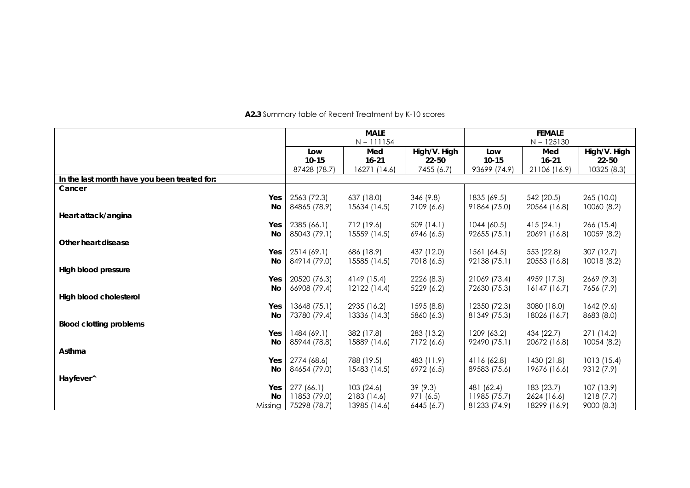#### **MALE** N = 111154 **FEMALE** N = 125130 **Low 10-15** 87428 (78.7) **Med 16-21** 16271 (14.6) **High/V. High 22-50**  7455 (6.7) **Low 10-15**  93699 (74.9) **Med 16-21**  21106 (16.9) **High/V. High 22-50**  10325 (8.3) **In the last month have you been treated for: Cancer Yes** 2563 (72.3) 637 (18.0) 346 (9.8) 1835 (69.5) 542 (20.5) 265 (10.0)  **No** 84865 (78.9) 15634 (14.5) 7109 (6.6) 91864 (75.0) 20564 (16.8) 10060 (8.2) **Heart attack/angina Yes** 2385 (66.1) 712 (19.6) 509 (14.1) 1044 (60.5) 415 (24.1) 266 (15.4) **No. 2008. In the Contract of Contract of Contract of Contract of Contract of Contract of Contract of Contract**  85043 (79.1) 15559 (14.5) 6946 (6.5) 92655 (75.1) 20691 (16.8) 10059 (8.2) **Other heart disease Yes** 2514 (69.1) 686 (18.9) 437 (12.0) 1561 (64.5) 553 (22.8) 307 (12.7)  **No** 84914 (79.0) 15585 (14.5) 7018 (6.5) 92138 (75.1) 20553 (16.8) 10018 (8.2) **High blood pressure Yes** 20520 (76.3) 4149 (15.4) 2226 (8.3) 21069 (73.4) 4959 (17.3) 2669 (9.3)  **No** 66908 (79.4) 12122 (14.4) 5229 (6.2) 72630 (75.3) 16147 (16.7) 7656 (7.9) **High blood cholesterol Yes** 13648 (75.1) 2935 (16.2) 1595 (8.8) 12350 (72.3) 3080 (18.0) 1642 (9.6)  **No** 73780 (79.4) 13336 (14.3) 5860 (6.3) 81349 (75.3) 18026 (16.7) 8683 (8.0) **Blood clotting problems Yes** 1484 (69.1) 382 (17.8) 283 (13.2) 1209 (63.2) 434 (22.7) 271 (14.2)  **No** 85944 (78.8) 15889 (14.6) 7172 (6.6) 92490 (75.1) 20672 (16.8) 10054 (8.2) **Asthma Yes** 2774 (68.6) 788 (19.5) 483 (11.9) 4116 (62.8) 1430 (21.8) 1013 (15.4) **No. 2008. In the Contract of Contract of Contract of Contract of Contract of Contract of Contract of Contract**  84654 (79.0) 15483 (14.5) 6972 (6.5) 89583 (75.6) 19676 (16.6) 9312 (7.9) **Hayfever^ Yes** 277 (66.1) 103 (24.6) 39 (9.3) 481 (62.4) 183 (23.7) 107 (13.9)  **No**11853 (79.0) 2183 (14.6) 971 (6.5) 11985 (75.7) 2624 (16.6) 1218 (7.7)

Missing 75298 (78.7) 13985 (14.6) 6445 (6.7) 81233 (74.9) 18299 (16.9) 9000 (8.3)

#### **A2.3** Summary table of Recent Treatment by K-10 scores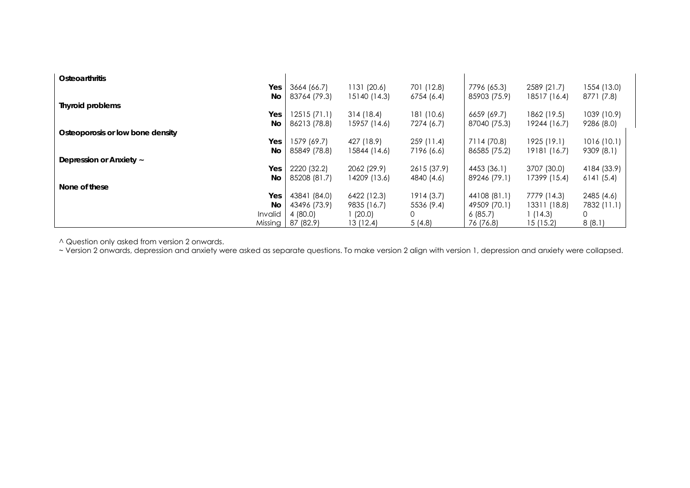| <b>Osteoarthritis</b>            |              |              |             |              |              |             |
|----------------------------------|--------------|--------------|-------------|--------------|--------------|-------------|
| Yes                              | 3664 (66.7)  | 1131 (20.6)  | 701 (12.8)  | 7796 (65.3)  | 2589 (21.7)  | 1554 (13.0) |
| <b>No</b>                        | 83764 (79.3) | 15140 (14.3) | 6754 (6.4)  | 85903 (75.9) | 18517 (16.4) | 8771 (7.8)  |
| <b>Thyroid problems</b>          |              |              |             |              |              |             |
| Yes                              | 12515(71.1)  | 314(18.4)    | 181 (10.6)  | 6659 (69.7)  | 1862 (19.5)  | 1039 (10.9) |
| No                               | 86213 (78.8) | 15957 (14.6) | 7274 (6.7)  | 87040 (75.3) | 19244 (16.7) | 9286 (8.0)  |
| Osteoporosis or low bone density |              |              |             |              |              |             |
| Yes                              | 1579 (69.7)  | 427 (18.9)   | 259 (11.4)  | 7114 (70.8)  | 1925 (19.1)  | 1016(10.1)  |
| No                               | 85849 (78.8) | 15844 (14.6) | 7196 (6.6)  | 86585 (75.2) | 19181 (16.7) | 9309 (8.1)  |
| Depression or Anxiety ~          |              |              |             |              |              |             |
| Yes                              | 2220 (32.2)  | 2062 (29.9)  | 2615 (37.9) | 4453 (36.1)  | 3707 (30.0)  | 4184 (33.9) |
| <b>No</b>                        | 85208 (81.7) | 14209 (13.6) | 4840 (4.6)  | 89246 (79.1) | 17399 (15.4) | 6141(5.4)   |
| None of these                    |              |              |             |              |              |             |
| Yes                              | 43841 (84.0) | 6422 (12.3)  | 1914(3.7)   | 44108 (81.1) | 7779 (14.3)  | 2485 (4.6)  |
| No                               | 43496 (73.9) | 9835 (16.7)  | 5536 (9.4)  | 49509 (70.1) | 13311 (18.8) | 7832 (11.1) |
| Invalid                          | 4 (80.0)     | (20.0)       | 0           | 6(85.7)      | (14.3)       | 0           |
| Missing                          | 87 (82.9)    | 13 (12.4)    | 5(4.8)      | 76 (76.8)    | 15 (15.2)    | 8(8.1)      |

^ Question only asked from version 2 onwards.

~ Version 2 onwards, depression and anxiety were asked as separate questions. To make version 2 align with version 1, depression and anxiety were collapsed.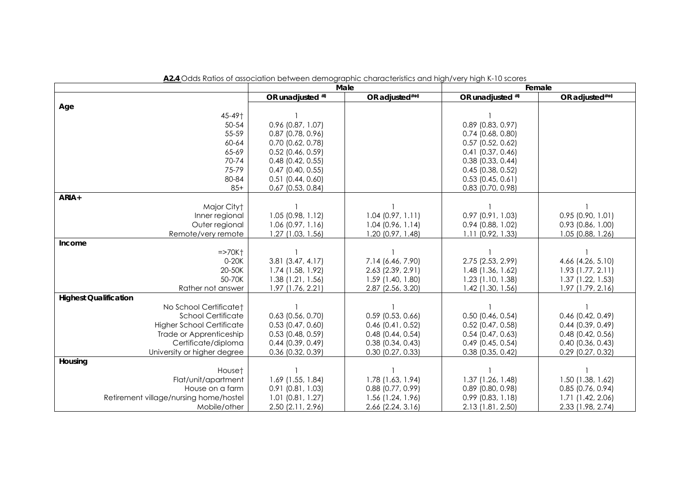|                                        | Male                                         |                                            | Female                                     |                                          |  |
|----------------------------------------|----------------------------------------------|--------------------------------------------|--------------------------------------------|------------------------------------------|--|
|                                        | OR unadjusted ##                             | OR adjusted#* <sup>‡</sup>                 | OR unadjusted ##                           | OR adjusted#***                          |  |
| Age                                    |                                              |                                            |                                            |                                          |  |
| 45-49†                                 |                                              |                                            |                                            |                                          |  |
| $50 - 54$                              | 0.96 (0.87, 1.07)                            |                                            | $0.89$ (0.83, 0.97)                        |                                          |  |
| 55-59                                  | $0.87$ (0.78, 0.96)                          |                                            | $0.74$ (0.68, 0.80)                        |                                          |  |
| 60-64                                  | $0.70$ (0.62, 0.78)                          |                                            | $0.57$ (0.52, 0.62)                        |                                          |  |
| 65-69                                  | $0.52$ (0.46, 0.59)                          |                                            | $0.41$ (0.37, 0.46)                        |                                          |  |
| 70-74                                  | $0.48$ (0.42, 0.55)                          |                                            | $0.38$ (0.33, 0.44)                        |                                          |  |
| 75-79                                  | $0.47$ (0.40, 0.55)                          |                                            | $0.45$ (0.38, 0.52)                        |                                          |  |
| 80-84                                  | $0.51$ (0.44, 0.60)                          |                                            | $0.53$ (0.45, 0.61)                        |                                          |  |
| $85+$                                  | $0.67$ (0.53, 0.84)                          |                                            | $0.83$ (0.70, 0.98)                        |                                          |  |
| ARIA+                                  |                                              |                                            |                                            |                                          |  |
| Major Cityt                            |                                              |                                            |                                            |                                          |  |
| Inner regional                         | $1.05$ (0.98, 1.12)                          | $1.04$ (0.97, 1.11)                        | $0.97$ $(0.91, 1.03)$                      | $0.95$ (0.90, 1.01)                      |  |
| Outer regional                         | $1.06$ (0.97, 1.16)                          | $1.04$ (0.96, 1.14)                        | $0.94$ (0.88, 1.02)                        | $0.93$ $(0.86, 1.00)$                    |  |
| Remote/very remote                     | 1.27 (1.03, 1.56)                            | $1.20$ (0.97, 1.48)                        | 1.11 (0.92, 1.33)                          | $1.05$ (0.88, 1.26)                      |  |
| Income                                 |                                              |                                            |                                            |                                          |  |
| $=$ >70K $\dagger$                     |                                              |                                            |                                            |                                          |  |
| 0-20K                                  | $3.81$ (3.47, 4.17)                          | 7.14 (6.46, 7.90)                          | 2.75 (2.53, 2.99)                          | 4.66 (4.26, 5.10)                        |  |
| 20-50K                                 | 1.74 (1.58, 1.92)                            | 2.63 (2.39, 2.91)                          | $1.48$ (1.36, 1.62)                        | $1.93$ $(1.77, 2.11)$                    |  |
| 50-70K                                 | $1.38$ $(1.21, 1.56)$                        | 1.59 (1.40, 1.80)                          | 1.23 (1.10, 1.38)                          | 1.37 (1.22, 1.53)                        |  |
| Rather not answer                      | 1.97 (1.76, 2.21)                            | 2.87 (2.56, 3.20)                          | 1.42 (1.30, 1.56)                          | 1.97 (1.79, 2.16)                        |  |
| <b>Highest Qualification</b>           |                                              |                                            |                                            |                                          |  |
| No School Certificate <sup>+</sup>     |                                              |                                            |                                            |                                          |  |
| <b>School Certificate</b>              | $0.63$ $(0.56, 0.70)$                        | $0.59$ (0.53, 0.66)                        | $0.50$ (0.46, 0.54)                        | $0.46$ (0.42, 0.49)                      |  |
| <b>Higher School Certificate</b>       | $0.53$ (0.47, 0.60)                          | $0.46$ (0.41, 0.52)                        | $0.52$ (0.47, 0.58)                        | $0.44$ (0.39, 0.49)                      |  |
| Trade or Apprenticeship                | $0.53$ (0.48, 0.59)                          | $0.48$ (0.44, 0.54)                        | $0.54$ (0.47, 0.63)                        | $0.48$ (0.42, 0.56)                      |  |
| Certificate/diploma                    | $0.44$ (0.39, 0.49)                          | $0.38$ (0.34, 0.43)                        | $0.49$ (0.45, 0.54)                        | $0.40$ (0.36, 0.43)                      |  |
| University or higher degree            | $0.36$ (0.32, 0.39)                          | $0.30$ (0.27, 0.33)                        | $0.38$ (0.35, 0.42)                        | $0.29$ (0.27, 0.32)                      |  |
| Housing                                |                                              |                                            |                                            |                                          |  |
| House <sup>+</sup>                     |                                              |                                            |                                            |                                          |  |
| Flat/unit/apartment<br>House on a farm | 1.69 (1.55, 1.84)                            | 1.78 (1.63, 1.94)<br>$0.88$ $(0.77, 0.99)$ | $1.37$ (1.26, 1.48)<br>$0.89$ (0.80, 0.98) | 1.50 (1.38, 1.62)<br>$0.85$ (0.76, 0.94) |  |
|                                        | $0.91$ $(0.81, 1.03)$<br>$1.01$ (0.81, 1.27) |                                            | $0.99$ (0.83, 1.18)                        |                                          |  |
| Retirement village/nursing home/hostel |                                              | 1.56 (1.24, 1.96)                          |                                            | 1.71 (1.42, 2.06)<br>2.33 (1.98, 2.74)   |  |
| Mobile/other                           | 2.50 (2.11, 2.96)                            | 2.66 (2.24, 3.16)                          | 2.13 (1.81, 2.50)                          |                                          |  |

**A2.4** Odds Ratios of association between demographic characteristics and high/very high K-10 scores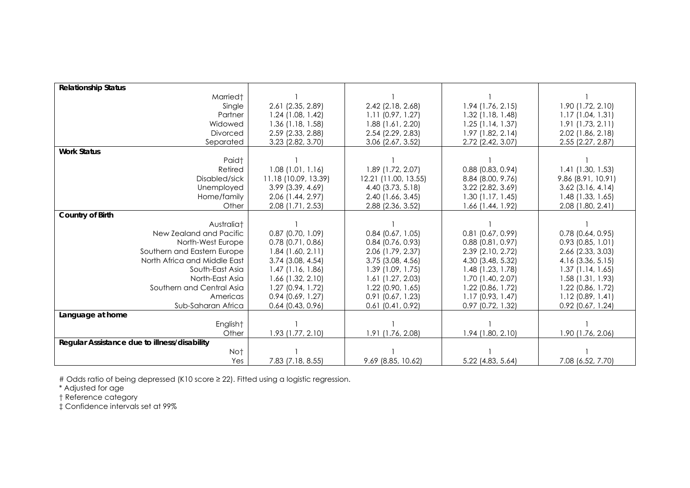| <b>Relationship Status</b>                   |                       |                       |                       |                       |
|----------------------------------------------|-----------------------|-----------------------|-----------------------|-----------------------|
| Married <sup>+</sup>                         |                       |                       |                       |                       |
| Single                                       | 2.61 (2.35, 2.89)     | 2.42 (2.18, 2.68)     | 1.94 (1.76, 2.15)     | 1.90 (1.72, 2.10)     |
| Partner                                      | $1.24$ (1.08, 1.42)   | $1.11$ (0.97, 1.27)   | $1.32$ (1.18, 1.48)   | 1.17(1.04, 1.31)      |
| Widowed                                      | $1.36$ (1.18, 1.58)   | $1.88$ (1.61, 2.20)   | 1.25(1.14, 1.37)      | 1.91(1.73, 2.11)      |
| Divorced                                     | 2.59 (2.33, 2.88)     | 2.54 (2.29, 2.83)     | 1.97 (1.82, 2.14)     | 2.02 (1.86, 2.18)     |
| Separated                                    | 3.23 (2.82, 3.70)     | 3.06 (2.67, 3.52)     | 2.72 (2.42, 3.07)     | 2.55 (2.27, 2.87)     |
| <b>Work Status</b>                           |                       |                       |                       |                       |
| Paid†                                        |                       |                       |                       |                       |
| Retired                                      | $1.08$ (1.01, 1.16)   | 1.89 (1.72, 2.07)     | $0.88$ (0.83, 0.94)   | $1.41$ (1.30, 1.53)   |
| Disabled/sick                                | 11.18 (10.09, 13.39)  | 12.21 (11.00, 13.55)  | 8.84 (8.00, 9.76)     | 9.86 (8.91, 10.91)    |
| Unemployed                                   | $3.99$ $(3.39, 4.69)$ | 4.40 (3.73, 5.18)     | 3.22 (2.82, 3.69)     | $3.62$ (3.16, 4.14)   |
| Home/family                                  | 2.06 (1.44, 2.97)     | 2.40 (1.66, 3.45)     | 1.30(1.17, 1.45)      | $1.48$ (1.33, 1.65)   |
| Other                                        | 2.08 (1.71, 2.53)     | 2.88 (2.36, 3.52)     | 1.66 (1.44, 1.92)     | 2.08 (1.80, 2.41)     |
| <b>Country of Birth</b>                      |                       |                       |                       |                       |
| Australiat                                   |                       |                       |                       |                       |
| New Zealand and Pacific                      | $0.87$ (0.70, 1.09)   | $0.84$ (0.67, 1.05)   | $0.81$ $(0.67, 0.99)$ | $0.78$ (0.64, 0.95)   |
| North-West Europe                            | $0.78$ $(0.71, 0.86)$ | $0.84$ (0.76, 0.93)   | $0.88$ $(0.81, 0.97)$ | $0.93$ $(0.85, 1.01)$ |
| Southern and Eastern Europe                  | 1.84(1.60, 2.11)      | 2.06 (1.79, 2.37)     | 2.39 (2.10, 2.72)     | 2.66 (2.33, 3.03)     |
| North Africa and Middle East                 | $3.74$ (3.08, 4.54)   | $3.75$ (3.08, 4.56)   | 4.30 (3.48, 5.32)     | 4.16 (3.36, 5.15)     |
| South-East Asia                              | $1.47$ (1.16, 1.86)   | 1.39 (1.09, 1.75)     | $1.48$ (1.23, 1.78)   | $1.37$ (1.14, 1.65)   |
| North-East Asia                              | $1.66$ (1.32, 2.10)   | $1.61$ (1.27, 2.03)   | 1.70 (1.40, 2.07)     | $1.58$ (1.31, 1.93)   |
| Southern and Central Asia                    | 1.27(0.94, 1.72)      | $1.22$ (0.90, 1.65)   | $1.22$ (0.86, 1.72)   | $1.22$ (0.86, 1.72)   |
| Americas                                     | $0.94$ $(0.69, 1.27)$ | $0.91$ $(0.67, 1.23)$ | $1.17$ (0.93, 1.47)   | $1.12$ (0.89, 1.41)   |
| Sub-Saharan Africa                           | $0.64$ (0.43, 0.96)   | $0.61$ $(0.41, 0.92)$ | 0.97 (0.72, 1.32)     | $0.92$ (0.67, 1.24)   |
| Language at home                             |                       |                       |                       |                       |
| English <sup>+</sup>                         |                       |                       |                       |                       |
| Other                                        | 1.93 (1.77, 2.10)     | 1.91 (1.76, 2.08)     | 1.94 (1.80, 2.10)     | 1.90 (1.76, 2.06)     |
| Regular Assistance due to illness/disability |                       |                       |                       |                       |
| Not                                          |                       |                       |                       |                       |
| Yes                                          | 7.83 (7.18, 8.55)     | 9.69 (8.85, 10.62)    | 5.22 (4.83, 5.64)     | 7.08 (6.52, 7.70)     |

# Odds ratio of being depressed (K10 score ≥ 22). Fitted using a logistic regression.

\* Adjusted for age

† Reference category

‡ Confidence intervals set at 99%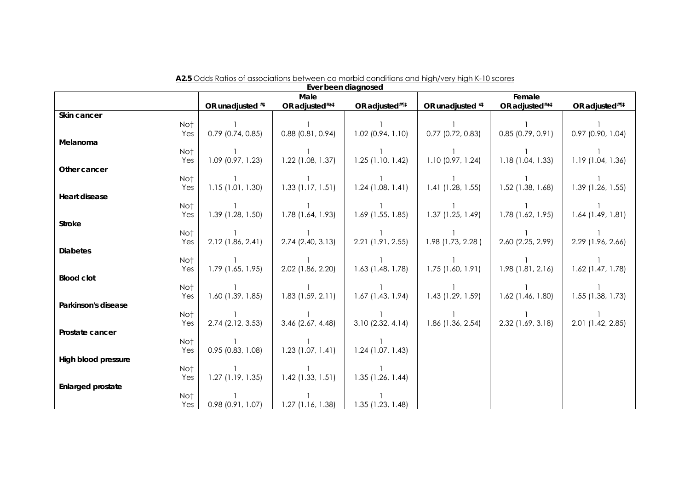|                                   |                       |                     | Ever been diagnosed |                     |                            |                     |
|-----------------------------------|-----------------------|---------------------|---------------------|---------------------|----------------------------|---------------------|
|                                   |                       | Male                |                     |                     | Female                     |                     |
|                                   | OR unadjusted ##      | OR adjusted#***     | OR adjusted#11      | OR unadjusted ##    | OR adjusted#* <sup>‡</sup> | OR adjusted#11#     |
| Skin cancer                       |                       |                     |                     |                     |                            |                     |
| No†                               |                       |                     |                     |                     |                            |                     |
| Yes                               | $0.79$ (0.74, 0.85)   | $0.88$ (0.81, 0.94) | $1.02$ (0.94, 1.10) | $0.77$ (0.72, 0.83) | $0.85$ (0.79, 0.91)        | 0.97 (0.90, 1.04)   |
| Melanoma                          |                       |                     |                     |                     |                            |                     |
| Not                               |                       |                     |                     |                     |                            |                     |
| Yes                               | $1.09$ (0.97, 1.23)   | $1.22$ (1.08, 1.37) | $1.25$ (1.10, 1.42) | 1.10(0.97, 1.24)    | 1.18 (1.04, 1.33)          | 1.19 (1.04, 1.36)   |
| Other cancer                      |                       |                     |                     |                     |                            |                     |
| No†                               |                       |                     |                     |                     |                            |                     |
| Yes                               | 1.15(1.01, 1.30)      | $1.33$ (1.17, 1.51) | $1.24$ (1.08, 1.41) | $1.41$ (1.28, 1.55) | $1.52$ (1.38, 1.68)        | 1.39 (1.26, 1.55)   |
| <b>Heart disease</b>              |                       |                     |                     |                     |                            |                     |
| No†                               |                       |                     |                     |                     |                            |                     |
| Yes                               | 1.39 (1.28, 1.50)     | 1.78 (1.64, 1.93)   | $1.69$ (1.55, 1.85) | $1.37$ (1.25, 1.49) | 1.78 (1.62, 1.95)          | $1.64$ (1.49, 1.81) |
| Stroke                            |                       |                     |                     |                     |                            |                     |
| Not                               |                       |                     |                     |                     |                            |                     |
| Yes                               | 2.12 (1.86, 2.41)     | $2.74$ (2.40, 3.13) | $2.21$ (1.91, 2.55) | $1.98$ (1.73, 2.28) | 2.60 (2.25, 2.99)          | 2.29 (1.96, 2.66)   |
| <b>Diabetes</b>                   |                       |                     |                     |                     |                            |                     |
| Not                               |                       |                     |                     |                     |                            |                     |
| Yes                               | 1.79 (1.65, 1.95)     | 2.02 (1.86, 2.20)   | $1.63$ (1.48, 1.78) | $1.75$ (1.60, 1.91) | $1.98$ (1.81, 2.16)        | $1.62$ (1.47, 1.78) |
| <b>Blood clot</b>                 |                       |                     |                     |                     |                            |                     |
| No†                               |                       |                     |                     |                     |                            |                     |
| Yes                               | $1.60$ (1.39, 1.85)   | $1.83$ (1.59, 2.11) | $1.67$ (1.43, 1.94) | $1.43$ (1.29, 1.59) | $1.62$ (1.46, 1.80)        | $1.55$ (1.38, 1.73) |
| Parkinson's disease<br>No†        |                       |                     |                     |                     |                            |                     |
|                                   |                       |                     | $3.10$ (2.32, 4.14) | 1.86 (1.36, 2.54)   | 2.32 (1.69, 3.18)          |                     |
| Yes<br>Prostate cancer            | 2.74 (2.12, 3.53)     | $3.46$ (2.67, 4.48) |                     |                     |                            | 2.01 (1.42, 2.85)   |
| No†                               |                       |                     |                     |                     |                            |                     |
|                                   | $0.95$ (0.83, 1.08)   | $1.23$ (1.07, 1.41) | $1.24$ (1.07, 1.43) |                     |                            |                     |
| Yes<br><b>High blood pressure</b> |                       |                     |                     |                     |                            |                     |
| Not                               |                       |                     |                     |                     |                            |                     |
| Yes                               | $1.27$ (1.19, 1.35)   | $1.42$ (1.33, 1.51) | $1.35$ (1.26, 1.44) |                     |                            |                     |
| <b>Enlarged prostate</b>          |                       |                     |                     |                     |                            |                     |
| No†                               |                       |                     |                     |                     |                            |                     |
|                                   | $0.98$ $(0.91, 1.07)$ | $1.27$ (1.16, 1.38) | $1.35$ (1.23, 1.48) |                     |                            |                     |
| Yes                               |                       |                     |                     |                     |                            |                     |

| A2.5 Odds Ratios of associations between co morbid conditions and high/very high K-10 scores |                     |
|----------------------------------------------------------------------------------------------|---------------------|
|                                                                                              | Ever heen diagnosed |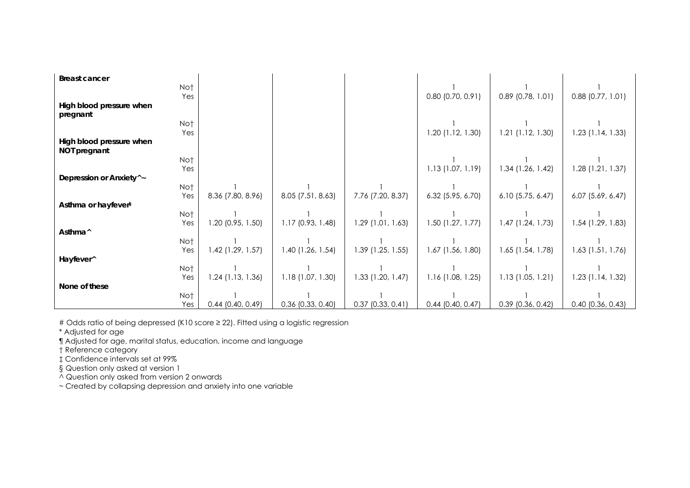| <b>Breast cancer</b>                 |                     |                     |                     |                     |                     |                       |
|--------------------------------------|---------------------|---------------------|---------------------|---------------------|---------------------|-----------------------|
| Not                                  |                     |                     |                     |                     |                     |                       |
| Yes                                  |                     |                     |                     | $0.80$ (0.70, 0.91) | $0.89$ (0.78, 1.01) | $0.88$ $(0.77, 1.01)$ |
| High blood pressure when             |                     |                     |                     |                     |                     |                       |
| pregnant                             |                     |                     |                     |                     |                     |                       |
| Not                                  |                     |                     |                     |                     |                     |                       |
| Yes                                  |                     |                     |                     | $1.20$ (1.12, 1.30) | $1.21$ (1.12, 1.30) | $1.23$ (1.14, 1.33)   |
| High blood pressure when             |                     |                     |                     |                     |                     |                       |
| NOT pregnant                         |                     |                     |                     |                     |                     |                       |
| Not                                  |                     |                     |                     |                     |                     |                       |
| Yes                                  |                     |                     |                     | 1.13(1.07, 1.19)    | 1.34 (1.26, 1.42)   | $1.28$ (1.21, 1.37)   |
| Depression or Anxiety <sup>^</sup> ~ |                     |                     |                     |                     |                     |                       |
| Not                                  |                     |                     |                     |                     |                     |                       |
| Yes                                  | 8.36 (7.80, 8.96)   | $8.05$ (7.51, 8.63) | 7.76 (7.20, 8.37)   | $6.32$ (5.95, 6.70) | $6.10$ (5.75, 6.47) | $6.07$ $(5.69, 6.47)$ |
| Asthma or hayfever <sup>§</sup>      |                     |                     |                     |                     |                     |                       |
| Not                                  |                     |                     |                     |                     |                     |                       |
| Yes                                  | $1.20$ (0.95, 1.50) | $1.17$ (0.93, 1.48) | $1.29$ (1.01, 1.63) | $1.50$ (1.27, 1.77) | $1.47$ (1.24, 1.73) | $1.54$ (1.29, 1.83)   |
| Asthma <sup>^</sup>                  |                     |                     |                     |                     |                     |                       |
| Not                                  |                     |                     |                     |                     |                     |                       |
| Yes                                  | $1.42$ (1.29, 1.57) | $1.40$ (1.26, 1.54) | $1.39$ (1.25, 1.55) | 1.67 (1.56, 1.80)   | $1.65$ (1.54, 1.78) | $1.63$ (1.51, 1.76)   |
| Hayfever^                            |                     |                     |                     |                     |                     |                       |
| Not                                  |                     |                     |                     |                     |                     |                       |
| Yes                                  | $1.24$ (1.13, 1.36) | 1.18(1.07, 1.30)    | $1.33$ (1.20, 1.47) | $1.16$ (1.08, 1.25) | 1.13(1.05, 1.21)    | $1.23$ (1.14, 1.32)   |
| None of these                        |                     |                     |                     |                     |                     |                       |
| Not                                  |                     |                     |                     |                     |                     |                       |
| Yes                                  | $0.44$ (0.40, 0.49) | $0.36$ (0.33, 0.40) | $0.37$ (0.33, 0.41) | $0.44$ (0.40, 0.47) | $0.39$ (0.36, 0.42) | $0.40$ (0.36, 0.43)   |

# Odds ratio of being depressed (K10 score ≥ 22). Fitted using a logistic regression

\* Adjusted for age

¶ Adjusted for age, marital status, education, income and language

† Reference category

‡ Confidence intervals set at 99%

§ Question only asked at version 1

^ Question only asked from version 2 onwards

~ Created by collapsing depression and anxiety into one variable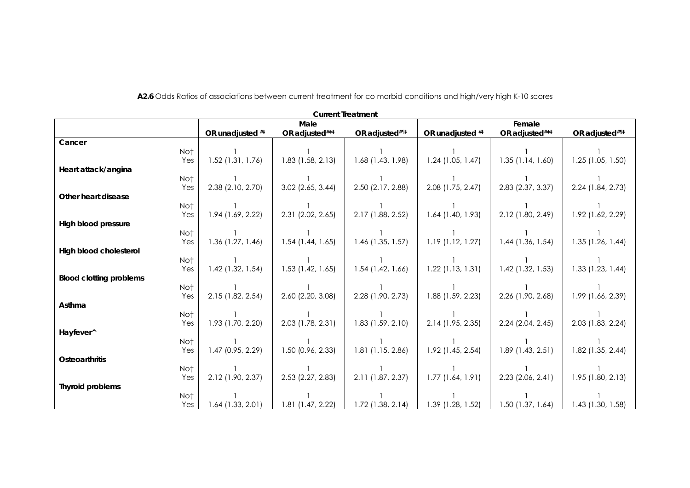| <b>Current Treatment</b>       |                     |                     |                     |                       |                            |                     |  |
|--------------------------------|---------------------|---------------------|---------------------|-----------------------|----------------------------|---------------------|--|
|                                | Male                |                     |                     | Female                |                            |                     |  |
|                                | OR unadjusted ##    | OR adjusted#**      | OR adjusted#11      | OR unadjusted ##      | OR adjusted#* <sup>‡</sup> | OR adjusted#11#     |  |
| Cancer                         |                     |                     |                     |                       |                            |                     |  |
| Not                            |                     |                     |                     |                       |                            |                     |  |
| Yes                            | $1.52$ (1.31, 1.76) | $1.83$ (1.58, 2.13) | 1.68 (1.43, 1.98)   | $1.24$ (1.05, 1.47)   | $1.35$ (1.14, 1.60)        | $1.25$ (1.05, 1.50) |  |
| Heart attack/angina            |                     |                     |                     |                       |                            |                     |  |
| No†                            |                     |                     |                     |                       |                            |                     |  |
| Yes                            | 2.38 (2.10, 2.70)   | $3.02$ (2.65, 3.44) | 2.50 (2.17, 2.88)   | 2.08 (1.75, 2.47)     | 2.83 (2.37, 3.37)          | 2.24 (1.84, 2.73)   |  |
| Other heart disease            |                     |                     |                     |                       |                            |                     |  |
| Not                            |                     |                     |                     |                       |                            |                     |  |
| Yes                            | 1.94 (1.69, 2.22)   | 2.31 (2.02, 2.65)   | 2.17 (1.88, 2.52)   | $1.64$ (1.40, 1.93)   | 2.12 (1.80, 2.49)          | 1.92 (1.62, 2.29)   |  |
| <b>High blood pressure</b>     |                     |                     |                     |                       |                            |                     |  |
| Not                            |                     |                     |                     |                       |                            |                     |  |
| Yes                            | 1.36 (1.27, 1.46)   | $1.54$ (1.44, 1.65) | $1.46$ (1.35, 1.57) | $1.19$ (1.12, 1.27)   | $1.44$ (1.36, 1.54)        | $1.35$ (1.26, 1.44) |  |
| High blood cholesterol         |                     |                     |                     |                       |                            |                     |  |
| Not                            |                     |                     |                     |                       |                            |                     |  |
| Yes                            | $1.42$ (1.32, 1.54) | $1.53$ (1.42, 1.65) | $1.54$ (1.42, 1.66) | $1.22$ (1.13, 1.31)   | $1.42$ (1.32, 1.53)        | $1.33$ (1.23, 1.44) |  |
| <b>Blood clotting problems</b> |                     |                     |                     |                       |                            |                     |  |
| Not                            |                     |                     |                     |                       |                            |                     |  |
| Yes                            | 2.15 (1.82, 2.54)   | 2.60 (2.20, 3.08)   | 2.28 (1.90, 2.73)   | 1.88 (1.59, 2.23)     | 2.26 (1.90, 2.68)          | 1.99 (1.66, 2.39)   |  |
| Asthma                         |                     |                     |                     |                       |                            |                     |  |
| Not                            |                     |                     |                     |                       |                            |                     |  |
| Yes<br>Hayfever^               | 1.93 (1.70, 2.20)   | 2.03 (1.78, 2.31)   | $1.83$ (1.59, 2.10) | 2.14 (1.95, 2.35)     | $2.24$ (2.04, 2.45)        | 2.03 (1.83, 2.24)   |  |
| Not                            |                     |                     |                     |                       |                            |                     |  |
| Yes                            | 1.47 (0.95, 2.29)   | 1.50 (0.96, 2.33)   | 1.81 (1.15, 2.86)   | $1.92$ (1.45, 2.54)   | $1.89$ (1.43, 2.51)        | $1.82$ (1.35, 2.44) |  |
| <b>Osteoarthritis</b>          |                     |                     |                     |                       |                            |                     |  |
| Not                            |                     |                     |                     |                       |                            |                     |  |
| Yes                            | 2.12 (1.90, 2.37)   | 2.53 (2.27, 2.83)   | 2.11 (1.87, 2.37)   | $1.77$ $(1.64, 1.91)$ | $2.23$ (2.06, 2.41)        | $1.95$ (1.80, 2.13) |  |
| <b>Thyroid problems</b>        |                     |                     |                     |                       |                            |                     |  |
| Not                            |                     |                     |                     |                       |                            |                     |  |
| Yes                            | $1.64$ (1.33, 2.01) | $1.81$ (1.47, 2.22) | $1.72$ (1.38, 2.14) | 1.39 (1.28, 1.52)     | $1.50$ (1.37, 1.64)        | $1.43$ (1.30, 1.58) |  |

#### **A2.6** Odds Ratios of associations between current treatment for co morbid conditions and high/very high K-10 scores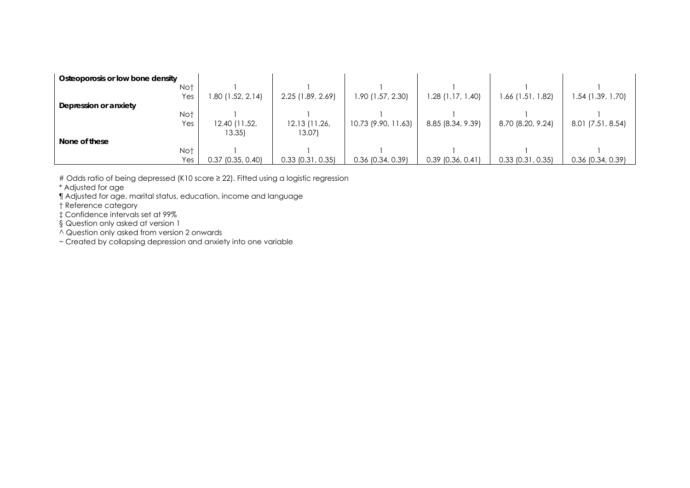| Osteoporosis or low bone density |                     |                       |                     |                     |                       |                     |
|----------------------------------|---------------------|-----------------------|---------------------|---------------------|-----------------------|---------------------|
| Not                              |                     |                       |                     |                     |                       |                     |
| Yes                              | 80 (1.52, 2.14)     | 2.25 (1.89, 2.69)     | 1.90 (1.57, 2.30)   | 1.28 (1.17, 1.40)   | 1.66 (1.51, 1.82)     | 1.54 (1.39, 1.70)   |
| Depression or anxiety            |                     |                       |                     |                     |                       |                     |
| Not                              |                     |                       |                     |                     |                       |                     |
| Yes                              | 12.40 (11.52,       | 12.13 (11.26,         | 10.73 (9.90, 11.63) | 8.85 (8.34, 9.39)   | 8.70 (8.20, 9.24)     | 8.01 (7.51, 8.54)   |
|                                  | 13.35               | 13.07)                |                     |                     |                       |                     |
| None of these                    |                     |                       |                     |                     |                       |                     |
| Not                              |                     |                       |                     |                     |                       |                     |
| Yes                              | $0.37$ (0.35, 0.40) | $0.33$ $(0.31, 0.35)$ | $0.36$ (0.34, 0.39) | $0.39$ (0.36, 0.41) | $0.33$ $(0.31, 0.35)$ | $0.36$ (0.34, 0.39) |

# Odds ratio of being depressed (K10 score ≥ 22). Fitted using a logistic regression

\* Adjusted for age

¶ Adjusted for age, marital status, education, income and language

† Reference category

‡ Confidence intervals set at 99%

§ Question only asked at version 1

^ Question only asked from version 2 onwards

~ Created by collapsing depression and anxiety into one variable